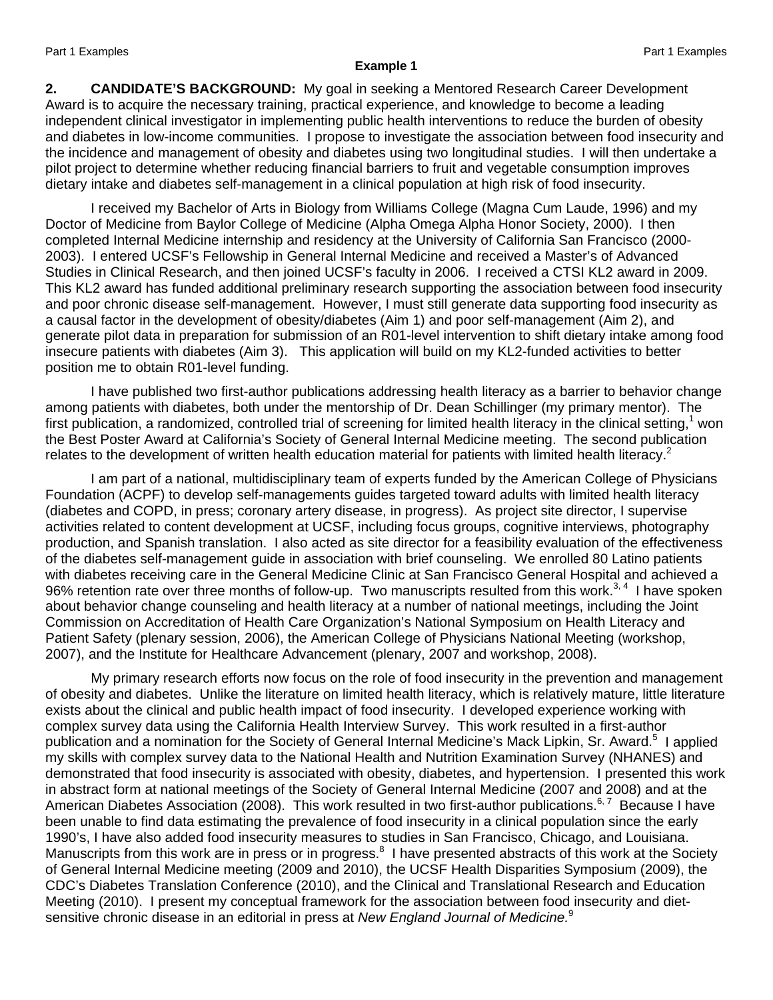#### **Example 1**

**2. CANDIDATE'S BACKGROUND:** My goal in seeking a Mentored Research Career Development Award is to acquire the necessary training, practical experience, and knowledge to become a leading independent clinical investigator in implementing public health interventions to reduce the burden of obesity and diabetes in low-income communities. I propose to investigate the association between food insecurity and the incidence and management of obesity and diabetes using two longitudinal studies. I will then undertake a pilot project to determine whether reducing financial barriers to fruit and vegetable consumption improves dietary intake and diabetes self-management in a clinical population at high risk of food insecurity.

I received my Bachelor of Arts in Biology from Williams College (Magna Cum Laude, 1996) and my Doctor of Medicine from Baylor College of Medicine (Alpha Omega Alpha Honor Society, 2000). I then completed Internal Medicine internship and residency at the University of California San Francisco (2000- 2003). I entered UCSF's Fellowship in General Internal Medicine and received a Master's of Advanced Studies in Clinical Research, and then joined UCSF's faculty in 2006. I received a CTSI KL2 award in 2009. This KL2 award has funded additional preliminary research supporting the association between food insecurity and poor chronic disease self-management. However, I must still generate data supporting food insecurity as a causal factor in the development of obesity/diabetes (Aim 1) and poor self-management (Aim 2), and generate pilot data in preparation for submission of an R01-level intervention to shift dietary intake among food insecure patients with diabetes (Aim 3). This application will build on my KL2-funded activities to better position me to obtain R01-level funding.

I have published two first-author publications addressing health literacy as a barrier to behavior change among patients with diabetes, both under the mentorship of Dr. Dean Schillinger (my primary mentor). The first publication, a randomized, controlled trial of screening for limited health literacy in the clinical setting,<sup>1</sup> won the Best Poster Award at California's Society of General Internal Medicine meeting. The second publication relates to the development of written health education material for patients with limited health literacy.<sup>2</sup>

I am part of a national, multidisciplinary team of experts funded by the American College of Physicians Foundation (ACPF) to develop self-managements guides targeted toward adults with limited health literacy (diabetes and COPD, in press; coronary artery disease, in progress). As project site director, I supervise activities related to content development at UCSF, including focus groups, cognitive interviews, photography production, and Spanish translation. I also acted as site director for a feasibility evaluation of the effectiveness of the diabetes self-management guide in association with brief counseling. We enrolled 80 Latino patients with diabetes receiving care in the General Medicine Clinic at San Francisco General Hospital and achieved a 96% retention rate over three months of follow-up. Two manuscripts resulted from this work.<sup>3, 4</sup> I have spoken about behavior change counseling and health literacy at a number of national meetings, including the Joint Commission on Accreditation of Health Care Organization's National Symposium on Health Literacy and Patient Safety (plenary session, 2006), the American College of Physicians National Meeting (workshop, 2007), and the Institute for Healthcare Advancement (plenary, 2007 and workshop, 2008).

My primary research efforts now focus on the role of food insecurity in the prevention and management of obesity and diabetes. Unlike the literature on limited health literacy, which is relatively mature, little literature exists about the clinical and public health impact of food insecurity. I developed experience working with complex survey data using the California Health Interview Survey. This work resulted in a first-author publication and a nomination for the Society of General Internal Medicine's Mack Lipkin, Sr. Award.<sup>5</sup> I applied my skills with complex survey data to the National Health and Nutrition Examination Survey (NHANES) and demonstrated that food insecurity is associated with obesity, diabetes, and hypertension. I presented this work in abstract form at national meetings of the Society of General Internal Medicine (2007 and 2008) and at the American Diabetes Association (2008). This work resulted in two first-author publications.<sup>6,7</sup> Because I have been unable to find data estimating the prevalence of food insecurity in a clinical population since the early 1990's, I have also added food insecurity measures to studies in San Francisco, Chicago, and Louisiana. Manuscripts from this work are in press or in progress.<sup>8</sup> I have presented abstracts of this work at the Society of General Internal Medicine meeting (2009 and 2010), the UCSF Health Disparities Symposium (2009), the CDC's Diabetes Translation Conference (2010), and the Clinical and Translational Research and Education Meeting (2010). I present my conceptual framework for the association between food insecurity and dietsensitive chronic disease in an editorial in press at *New England Journal of Medicine.*<sup>9</sup>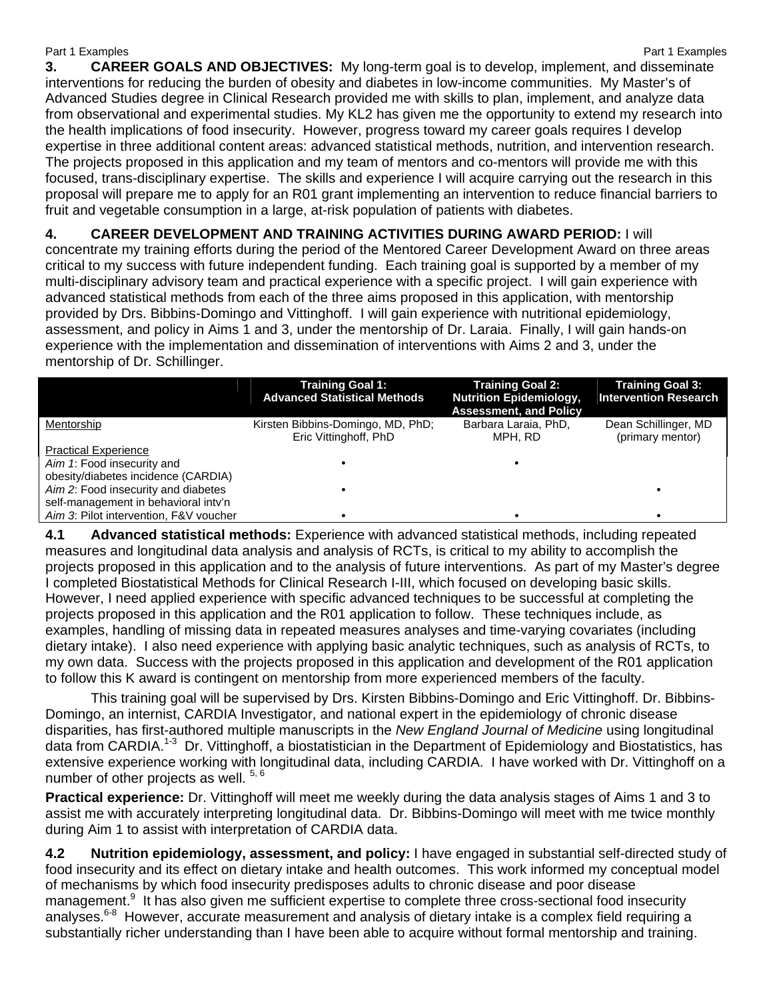Part 1 Examples **Part 1 Examples** Part 1 Examples **3. CAREER GOALS AND OBJECTIVES:** My long-term goal is to develop, implement, and disseminate interventions for reducing the burden of obesity and diabetes in low-income communities. My Master's of Advanced Studies degree in Clinical Research provided me with skills to plan, implement, and analyze data from observational and experimental studies. My KL2 has given me the opportunity to extend my research into the health implications of food insecurity. However, progress toward my career goals requires I develop expertise in three additional content areas: advanced statistical methods, nutrition, and intervention research. The projects proposed in this application and my team of mentors and co-mentors will provide me with this focused, trans-disciplinary expertise. The skills and experience I will acquire carrying out the research in this proposal will prepare me to apply for an R01 grant implementing an intervention to reduce financial barriers to fruit and vegetable consumption in a large, at-risk population of patients with diabetes.

**4. CAREER DEVELOPMENT AND TRAINING ACTIVITIES DURING AWARD PERIOD:** I will concentrate my training efforts during the period of the Mentored Career Development Award on three areas critical to my success with future independent funding. Each training goal is supported by a member of my multi-disciplinary advisory team and practical experience with a specific project. I will gain experience with advanced statistical methods from each of the three aims proposed in this application, with mentorship provided by Drs. Bibbins-Domingo and Vittinghoff. I will gain experience with nutritional epidemiology, assessment, and policy in Aims 1 and 3, under the mentorship of Dr. Laraia. Finally, I will gain hands-on experience with the implementation and dissemination of interventions with Aims 2 and 3, under the mentorship of Dr. Schillinger.

|                                        | <b>Training Goal 1:</b><br><b>Advanced Statistical Methods</b> | <b>Training Goal 2:</b><br><b>Nutrition Epidemiology,</b><br><b>Assessment, and Policy</b> | <b>Training Goal 3:</b><br><b>Intervention Research</b> |
|----------------------------------------|----------------------------------------------------------------|--------------------------------------------------------------------------------------------|---------------------------------------------------------|
| Mentorship                             | Kirsten Bibbins-Domingo, MD, PhD;                              | Barbara Laraia, PhD,                                                                       | Dean Schillinger, MD                                    |
|                                        | Eric Vittinghoff, PhD                                          | MPH. RD                                                                                    | (primary mentor)                                        |
| <b>Practical Experience</b>            |                                                                |                                                                                            |                                                         |
| Aim 1: Food insecurity and             |                                                                |                                                                                            |                                                         |
| obesity/diabetes incidence (CARDIA)    |                                                                |                                                                                            |                                                         |
| Aim 2: Food insecurity and diabetes    |                                                                |                                                                                            |                                                         |
| self-management in behavioral inty'n   |                                                                |                                                                                            |                                                         |
| Aim 3: Pilot intervention, F&V voucher |                                                                |                                                                                            |                                                         |

**4.1 Advanced statistical methods:** Experience with advanced statistical methods, including repeated measures and longitudinal data analysis and analysis of RCTs, is critical to my ability to accomplish the projects proposed in this application and to the analysis of future interventions. As part of my Master's degree I completed Biostatistical Methods for Clinical Research I-III, which focused on developing basic skills. However, I need applied experience with specific advanced techniques to be successful at completing the projects proposed in this application and the R01 application to follow. These techniques include, as examples, handling of missing data in repeated measures analyses and time-varying covariates (including dietary intake). I also need experience with applying basic analytic techniques, such as analysis of RCTs, to my own data. Success with the projects proposed in this application and development of the R01 application to follow this K award is contingent on mentorship from more experienced members of the faculty.

This training goal will be supervised by Drs. Kirsten Bibbins-Domingo and Eric Vittinghoff. Dr. Bibbins-Domingo, an internist, CARDIA Investigator, and national expert in the epidemiology of chronic disease disparities, has first-authored multiple manuscripts in the *New England Journal of Medicine* using longitudinal data from CARDIA.<sup>1-3</sup> Dr. Vittinghoff, a biostatistician in the Department of Epidemiology and Biostatistics, has extensive experience working with longitudinal data, including CARDIA. I have worked with Dr. Vittinghoff on a number of other projects as well. 5, 6

**Practical experience:** Dr. Vittinghoff will meet me weekly during the data analysis stages of Aims 1 and 3 to assist me with accurately interpreting longitudinal data. Dr. Bibbins-Domingo will meet with me twice monthly during Aim 1 to assist with interpretation of CARDIA data.

**4.2 Nutrition epidemiology, assessment, and policy:** I have engaged in substantial self-directed study of food insecurity and its effect on dietary intake and health outcomes. This work informed my conceptual model of mechanisms by which food insecurity predisposes adults to chronic disease and poor disease management.<sup>9</sup> It has also given me sufficient expertise to complete three cross-sectional food insecurity analyses.<sup>6-8</sup> However, accurate measurement and analysis of dietary intake is a complex field requiring a substantially richer understanding than I have been able to acquire without formal mentorship and training.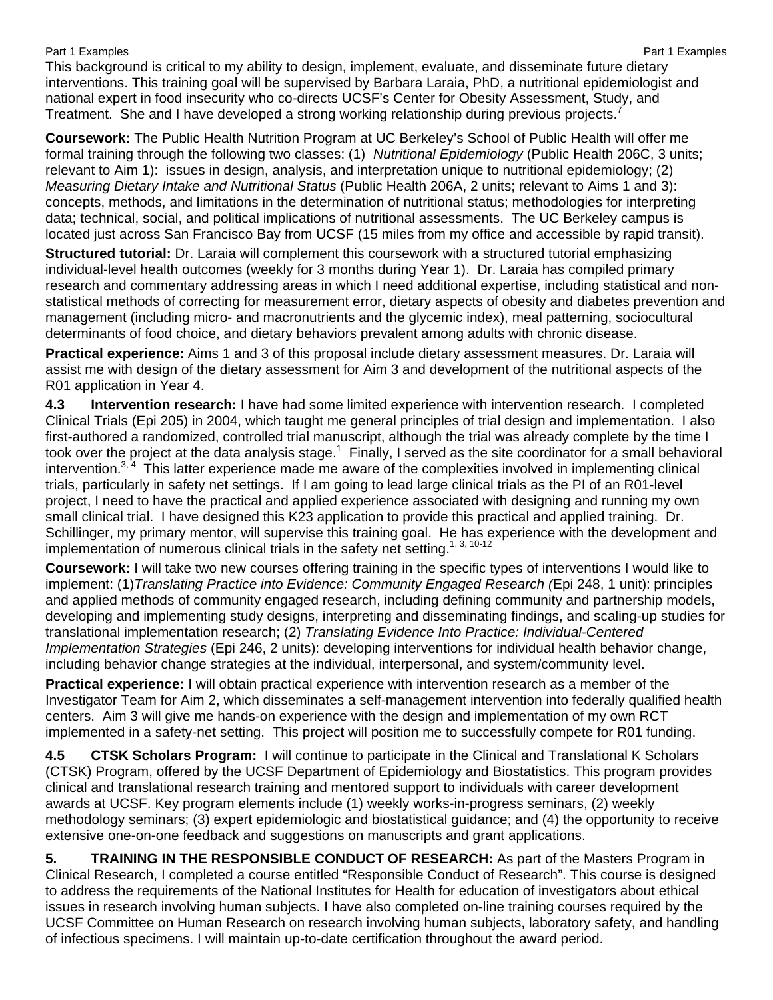This background is critical to my ability to design, implement, evaluate, and disseminate future dietary interventions. This training goal will be supervised by Barbara Laraia, PhD, a nutritional epidemiologist and national expert in food insecurity who co-directs UCSF's Center for Obesity Assessment, Study, and Treatment. She and I have developed a strong working relationship during previous projects.<sup>7</sup>

**Coursework:** The Public Health Nutrition Program at UC Berkeley's School of Public Health will offer me formal training through the following two classes: (1) *Nutritional Epidemiology* (Public Health 206C, 3 units; relevant to Aim 1): issues in design, analysis, and interpretation unique to nutritional epidemiology; (2) *Measuring Dietary Intake and Nutritional Status* (Public Health 206A, 2 units; relevant to Aims 1 and 3): concepts, methods, and limitations in the determination of nutritional status; methodologies for interpreting data; technical, social, and political implications of nutritional assessments. The UC Berkeley campus is located just across San Francisco Bay from UCSF (15 miles from my office and accessible by rapid transit).

**Structured tutorial:** Dr. Laraia will complement this coursework with a structured tutorial emphasizing individual-level health outcomes (weekly for 3 months during Year 1). Dr. Laraia has compiled primary research and commentary addressing areas in which I need additional expertise, including statistical and nonstatistical methods of correcting for measurement error, dietary aspects of obesity and diabetes prevention and management (including micro- and macronutrients and the glycemic index), meal patterning, sociocultural determinants of food choice, and dietary behaviors prevalent among adults with chronic disease.

**Practical experience:** Aims 1 and 3 of this proposal include dietary assessment measures. Dr. Laraia will assist me with design of the dietary assessment for Aim 3 and development of the nutritional aspects of the R01 application in Year 4.

**4.3 Intervention research:** I have had some limited experience with intervention research. I completed Clinical Trials (Epi 205) in 2004, which taught me general principles of trial design and implementation. I also first-authored a randomized, controlled trial manuscript, although the trial was already complete by the time I took over the project at the data analysis stage.<sup>1</sup> Finally, I served as the site coordinator for a small behavioral intervention.<sup>3, 4</sup> This latter experience made me aware of the complexities involved in implementing clinical trials, particularly in safety net settings. If I am going to lead large clinical trials as the PI of an R01-level project, I need to have the practical and applied experience associated with designing and running my own small clinical trial. I have designed this K23 application to provide this practical and applied training. Dr. Schillinger, my primary mentor, will supervise this training goal. He has experience with the development and implementation of numerous clinical trials in the safety net setting.<sup>1, 3, 10-12</sup>

**Coursework:** I will take two new courses offering training in the specific types of interventions I would like to implement: (1)*Translating Practice into Evidence: Community Engaged Research (*Epi 248, 1 unit): principles and applied methods of community engaged research, including defining community and partnership models, developing and implementing study designs, interpreting and disseminating findings, and scaling-up studies for translational implementation research; (2) *Translating Evidence Into Practice: Individual-Centered Implementation Strategies* (Epi 246, 2 units): developing interventions for individual health behavior change, including behavior change strategies at the individual, interpersonal, and system/community level.

**Practical experience:** I will obtain practical experience with intervention research as a member of the Investigator Team for Aim 2, which disseminates a self-management intervention into federally qualified health centers. Aim 3 will give me hands-on experience with the design and implementation of my own RCT implemented in a safety-net setting. This project will position me to successfully compete for R01 funding.

**4.5 CTSK Scholars Program:** I will continue to participate in the Clinical and Translational K Scholars (CTSK) Program, offered by the UCSF Department of Epidemiology and Biostatistics. This program provides clinical and translational research training and mentored support to individuals with career development awards at UCSF. Key program elements include (1) weekly works-in-progress seminars, (2) weekly methodology seminars; (3) expert epidemiologic and biostatistical guidance; and (4) the opportunity to receive extensive one-on-one feedback and suggestions on manuscripts and grant applications.

**5. TRAINING IN THE RESPONSIBLE CONDUCT OF RESEARCH:** As part of the Masters Program in Clinical Research, I completed a course entitled "Responsible Conduct of Research". This course is designed to address the requirements of the National Institutes for Health for education of investigators about ethical issues in research involving human subjects. I have also completed on-line training courses required by the UCSF Committee on Human Research on research involving human subjects, laboratory safety, and handling of infectious specimens. I will maintain up-to-date certification throughout the award period.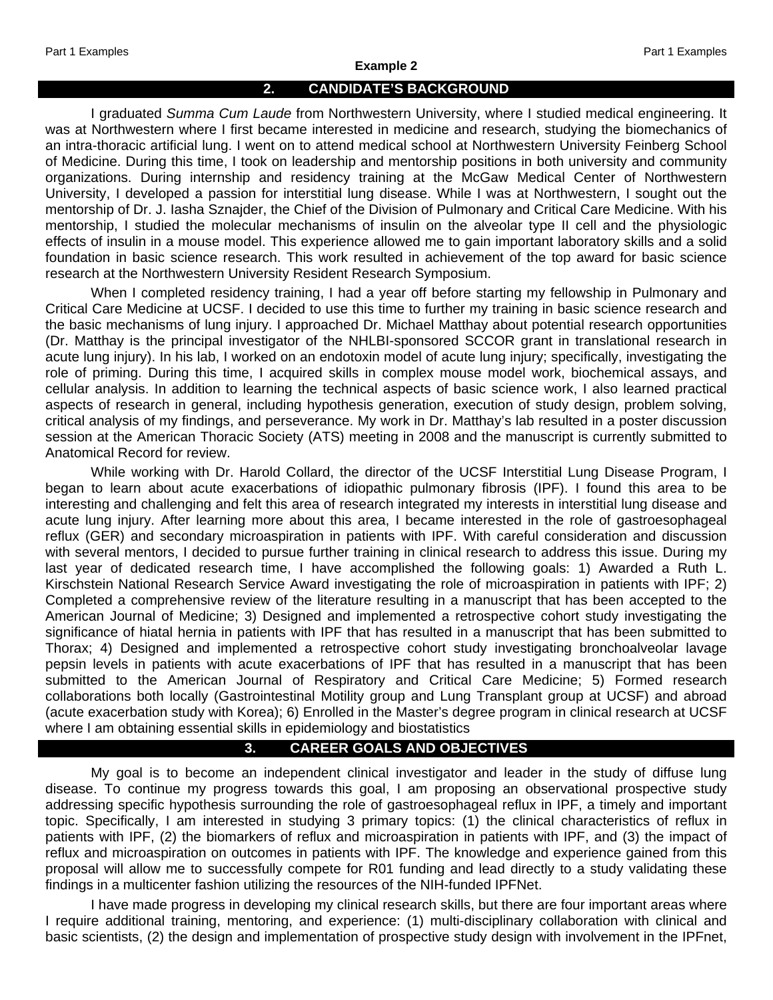#### **Example 2**

### **2. CANDIDATE'S BACKGROUND**

I graduated *Summa Cum Laude* from Northwestern University, where I studied medical engineering. It was at Northwestern where I first became interested in medicine and research, studying the biomechanics of an intra-thoracic artificial lung. I went on to attend medical school at Northwestern University Feinberg School of Medicine. During this time, I took on leadership and mentorship positions in both university and community organizations. During internship and residency training at the McGaw Medical Center of Northwestern University, I developed a passion for interstitial lung disease. While I was at Northwestern, I sought out the mentorship of Dr. J. Iasha Sznajder, the Chief of the Division of Pulmonary and Critical Care Medicine. With his mentorship, I studied the molecular mechanisms of insulin on the alveolar type II cell and the physiologic effects of insulin in a mouse model. This experience allowed me to gain important laboratory skills and a solid foundation in basic science research. This work resulted in achievement of the top award for basic science research at the Northwestern University Resident Research Symposium.

When I completed residency training, I had a year off before starting my fellowship in Pulmonary and Critical Care Medicine at UCSF. I decided to use this time to further my training in basic science research and the basic mechanisms of lung injury. I approached Dr. Michael Matthay about potential research opportunities (Dr. Matthay is the principal investigator of the NHLBI-sponsored SCCOR grant in translational research in acute lung injury). In his lab, I worked on an endotoxin model of acute lung injury; specifically, investigating the role of priming. During this time, I acquired skills in complex mouse model work, biochemical assays, and cellular analysis. In addition to learning the technical aspects of basic science work, I also learned practical aspects of research in general, including hypothesis generation, execution of study design, problem solving, critical analysis of my findings, and perseverance. My work in Dr. Matthay's lab resulted in a poster discussion session at the American Thoracic Society (ATS) meeting in 2008 and the manuscript is currently submitted to Anatomical Record for review.

While working with Dr. Harold Collard, the director of the UCSF Interstitial Lung Disease Program, I began to learn about acute exacerbations of idiopathic pulmonary fibrosis (IPF). I found this area to be interesting and challenging and felt this area of research integrated my interests in interstitial lung disease and acute lung injury. After learning more about this area, I became interested in the role of gastroesophageal reflux (GER) and secondary microaspiration in patients with IPF. With careful consideration and discussion with several mentors, I decided to pursue further training in clinical research to address this issue. During my last year of dedicated research time, I have accomplished the following goals: 1) Awarded a Ruth L. Kirschstein National Research Service Award investigating the role of microaspiration in patients with IPF; 2) Completed a comprehensive review of the literature resulting in a manuscript that has been accepted to the American Journal of Medicine; 3) Designed and implemented a retrospective cohort study investigating the significance of hiatal hernia in patients with IPF that has resulted in a manuscript that has been submitted to Thorax; 4) Designed and implemented a retrospective cohort study investigating bronchoalveolar lavage pepsin levels in patients with acute exacerbations of IPF that has resulted in a manuscript that has been submitted to the American Journal of Respiratory and Critical Care Medicine; 5) Formed research collaborations both locally (Gastrointestinal Motility group and Lung Transplant group at UCSF) and abroad (acute exacerbation study with Korea); 6) Enrolled in the Master's degree program in clinical research at UCSF where I am obtaining essential skills in epidemiology and biostatistics

## **3. CAREER GOALS AND OBJECTIVES**

My goal is to become an independent clinical investigator and leader in the study of diffuse lung disease. To continue my progress towards this goal, I am proposing an observational prospective study addressing specific hypothesis surrounding the role of gastroesophageal reflux in IPF, a timely and important topic. Specifically, I am interested in studying 3 primary topics: (1) the clinical characteristics of reflux in patients with IPF, (2) the biomarkers of reflux and microaspiration in patients with IPF, and (3) the impact of reflux and microaspiration on outcomes in patients with IPF. The knowledge and experience gained from this proposal will allow me to successfully compete for R01 funding and lead directly to a study validating these findings in a multicenter fashion utilizing the resources of the NIH-funded IPFNet.

I have made progress in developing my clinical research skills, but there are four important areas where I require additional training, mentoring, and experience: (1) multi-disciplinary collaboration with clinical and basic scientists, (2) the design and implementation of prospective study design with involvement in the IPFnet,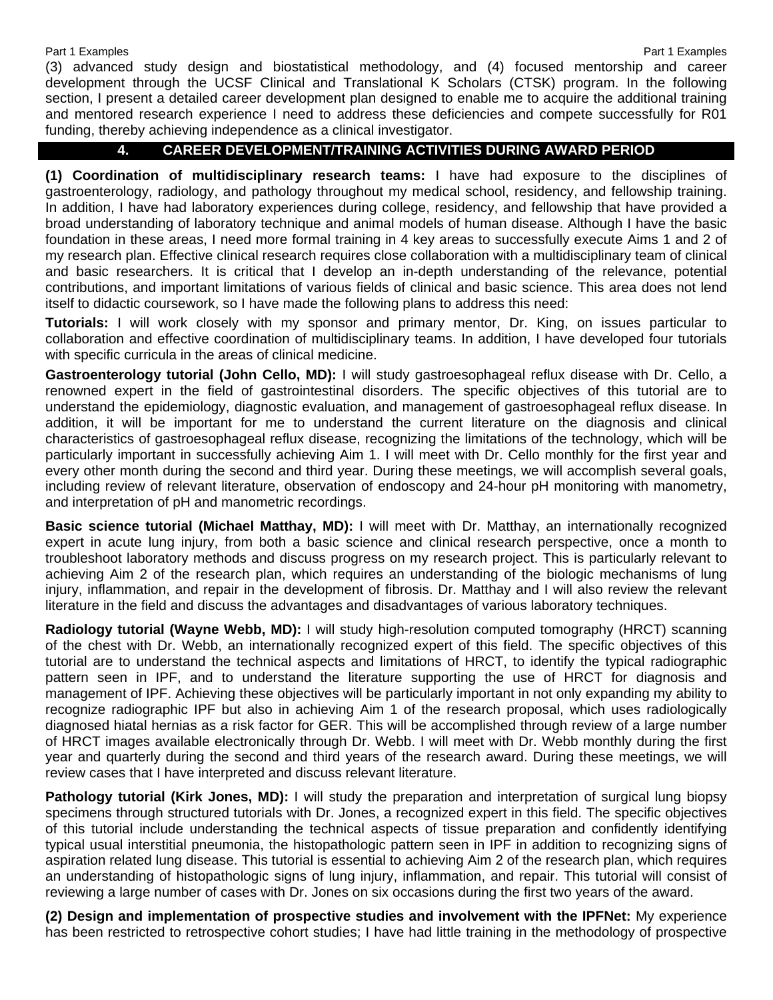(3) advanced study design and biostatistical methodology, and (4) focused mentorship and career development through the UCSF Clinical and Translational K Scholars (CTSK) program. In the following section, I present a detailed career development plan designed to enable me to acquire the additional training and mentored research experience I need to address these deficiencies and compete successfully for R01 funding, thereby achieving independence as a clinical investigator.

## **4. CAREER DEVELOPMENT/TRAINING ACTIVITIES DURING AWARD PERIOD**

**(1) Coordination of multidisciplinary research teams:** I have had exposure to the disciplines of gastroenterology, radiology, and pathology throughout my medical school, residency, and fellowship training. In addition, I have had laboratory experiences during college, residency, and fellowship that have provided a broad understanding of laboratory technique and animal models of human disease. Although I have the basic foundation in these areas, I need more formal training in 4 key areas to successfully execute Aims 1 and 2 of my research plan. Effective clinical research requires close collaboration with a multidisciplinary team of clinical and basic researchers. It is critical that I develop an in-depth understanding of the relevance, potential contributions, and important limitations of various fields of clinical and basic science. This area does not lend itself to didactic coursework, so I have made the following plans to address this need:

**Tutorials:** I will work closely with my sponsor and primary mentor, Dr. King, on issues particular to collaboration and effective coordination of multidisciplinary teams. In addition, I have developed four tutorials with specific curricula in the areas of clinical medicine.

**Gastroenterology tutorial (John Cello, MD):** I will study gastroesophageal reflux disease with Dr. Cello, a renowned expert in the field of gastrointestinal disorders. The specific objectives of this tutorial are to understand the epidemiology, diagnostic evaluation, and management of gastroesophageal reflux disease. In addition, it will be important for me to understand the current literature on the diagnosis and clinical characteristics of gastroesophageal reflux disease, recognizing the limitations of the technology, which will be particularly important in successfully achieving Aim 1. I will meet with Dr. Cello monthly for the first year and every other month during the second and third year. During these meetings, we will accomplish several goals, including review of relevant literature, observation of endoscopy and 24-hour pH monitoring with manometry, and interpretation of pH and manometric recordings.

**Basic science tutorial (Michael Matthay, MD):** I will meet with Dr. Matthay, an internationally recognized expert in acute lung injury, from both a basic science and clinical research perspective, once a month to troubleshoot laboratory methods and discuss progress on my research project. This is particularly relevant to achieving Aim 2 of the research plan, which requires an understanding of the biologic mechanisms of lung injury, inflammation, and repair in the development of fibrosis. Dr. Matthay and I will also review the relevant literature in the field and discuss the advantages and disadvantages of various laboratory techniques.

**Radiology tutorial (Wayne Webb, MD):** I will study high-resolution computed tomography (HRCT) scanning of the chest with Dr. Webb, an internationally recognized expert of this field. The specific objectives of this tutorial are to understand the technical aspects and limitations of HRCT, to identify the typical radiographic pattern seen in IPF, and to understand the literature supporting the use of HRCT for diagnosis and management of IPF. Achieving these objectives will be particularly important in not only expanding my ability to recognize radiographic IPF but also in achieving Aim 1 of the research proposal, which uses radiologically diagnosed hiatal hernias as a risk factor for GER. This will be accomplished through review of a large number of HRCT images available electronically through Dr. Webb. I will meet with Dr. Webb monthly during the first year and quarterly during the second and third years of the research award. During these meetings, we will review cases that I have interpreted and discuss relevant literature.

**Pathology tutorial (Kirk Jones, MD):** I will study the preparation and interpretation of surgical lung biopsy specimens through structured tutorials with Dr. Jones, a recognized expert in this field. The specific objectives of this tutorial include understanding the technical aspects of tissue preparation and confidently identifying typical usual interstitial pneumonia, the histopathologic pattern seen in IPF in addition to recognizing signs of aspiration related lung disease. This tutorial is essential to achieving Aim 2 of the research plan, which requires an understanding of histopathologic signs of lung injury, inflammation, and repair. This tutorial will consist of reviewing a large number of cases with Dr. Jones on six occasions during the first two years of the award.

**(2) Design and implementation of prospective studies and involvement with the IPFNet:** My experience has been restricted to retrospective cohort studies; I have had little training in the methodology of prospective